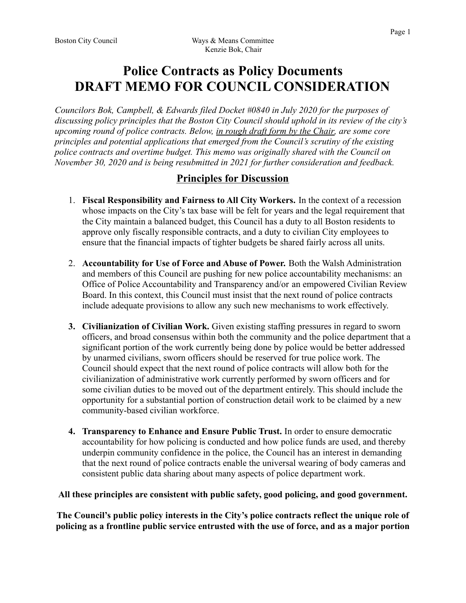# **Police Contracts as Policy Documents DRAFT MEMO FOR COUNCIL CONSIDERATION**

Councilors Bok, Campbell, & Edwards filed Docket #0840 in July 2020 for the purposes of discussing policy principles that the Boston City Council should uphold in its review of the city's upcoming round of police contracts. Below, in rough draft form by the Chair, are some core principles and potential applications that emerged from the Council's scrutiny of the existing police contracts and overtime budget. This memo was originally shared with the Council on November 30, 2020 and is being resubmitted in 2021 for further consideration and feedback.

## **Principles for Discussion**

- 1. Fiscal Responsibility and Fairness to All City Workers. In the context of a recession whose impacts on the City's tax base will be felt for years and the legal requirement that the City maintain a balanced budget, this Council has a duty to all Boston residents to approve only fiscally responsible contracts, and a duty to civilian City employees to ensure that the financial impacts of tighter budgets be shared fairly across all units.
- 2. Accountability for Use of Force and Abuse of Power. Both the Walsh Administration and members of this Council are pushing for new police accountability mechanisms: an Office of Police Accountability and Transparency and/or an empowered Civilian Review Board. In this context, this Council must insist that the next round of police contracts include adequate provisions to allow any such new mechanisms to work effectively.
- 3. Civilianization of Civilian Work. Given existing staffing pressures in regard to sworn officers, and broad consensus within both the community and the police department that a significant portion of the work currently being done by police would be better addressed by unarmed civilians, sworn officers should be reserved for true police work. The Council should expect that the next round of police contracts will allow both for the civilianization of administrative work currently performed by sworn officers and for some civilian duties to be moved out of the department entirely. This should include the opportunity for a substantial portion of construction detail work to be claimed by a new community-based civilian workforce.
- 4. Transparency to Enhance and Ensure Public Trust. In order to ensure democratic accountability for how policing is conducted and how police funds are used, and thereby underpin community confidence in the police, the Council has an interest in demanding that the next round of police contracts enable the universal wearing of body cameras and consistent public data sharing about many aspects of police department work.

#### All these principles are consistent with public safety, good policing, and good government.

The Council's public policy interests in the City's police contracts reflect the unique role of policing as a frontline public service entrusted with the use of force, and as a major portion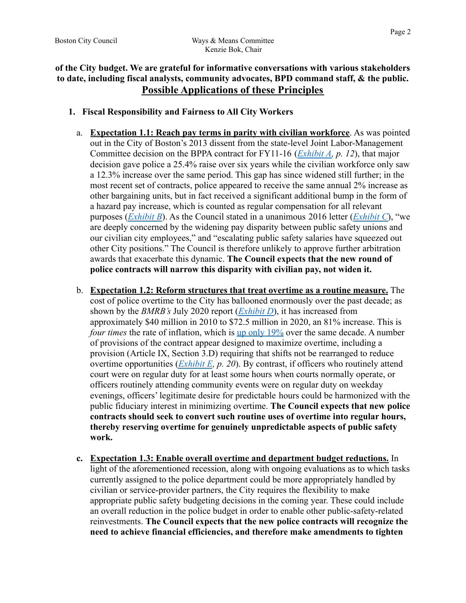### of the City budget. We are grateful for informative conversations with various stakeholders to date, including fiscal analysts, community advocates, BPD command staff, & the public. **Possible Applications of these Principles**

- 1. Fiscal Responsibility and Fairness to All City Workers
	- a. **Expectation 1.1: Reach pay terms in parity with civilian workforce**. As was pointed out in the City of Boston's 2013 dissent from the state-level Joint Labor-Management Committee decision on the BPPA contract for FY11-16 (*Exhibit A, p. 12*), that major decision gave police a 25.4% raise over six years while the civilian workforce only saw a 12.3% increase over the same period. This gap has since widened still further; in the most recent set of contracts, police appeared to receive the same annual 2% increase as other bargaining units, but in fact received a significant additional bump in the form of a hazard pay increase, which is counted as regular compensation for all relevant purposes (*Exhibit B*). As the Council stated in a unanimous 2016 letter (*Exhibit C*), "we are deeply concerned by the widening pay disparity between public safety unions and our civilian city employees," and "escalating public safety salaries have squeezed out other City positions." The Council is therefore unlikely to approve further arbitration awards that exacerbate this dynamic. The Council expects that the new round of police contracts will narrow this disparity with civilian pay, not widen it.
	- b. Expectation 1.2: Reform structures that treat overtime as a routine measure. The cost of police overtime to the City has ballooned enormously over the past decade; as shown by the *BMRB's* July 2020 report  $(Exhibit D)$ , it has increased from approximately \$40 million in 2010 to \$72.5 million in 2020, an 81% increase. This is *four times* the rate of inflation, which is up only 19% over the same decade. A number of provisions of the contract appear designed to maximize overtime, including a provision (Article IX, Section 3.D) requiring that shifts not be rearranged to reduce overtime opportunities  $(Exhibit E, p. 20)$ . By contrast, if officers who routinely attend court were on regular duty for at least some hours when courts normally operate, or officers routinely attending community events were on regular duty on weekday evenings, officers' legitimate desire for predictable hours could be harmonized with the public fiduciary interest in minimizing overtime. The Council expects that new police contracts should seek to convert such routine uses of overtime into regular hours, thereby reserving overtime for genuinely unpredictable aspects of public safety work.
	- c. Expectation 1.3: Enable overall overtime and department budget reductions. In light of the aforementioned recession, along with ongoing evaluations as to which tasks currently assigned to the police department could be more appropriately handled by civilian or service-provider partners, the City requires the flexibility to make appropriate public safety budgeting decisions in the coming year. These could include an overall reduction in the police budget in order to enable other public-safety-related reinvestments. The Council expects that the new police contracts will recognize the need to achieve financial efficiencies, and therefore make amendments to tighten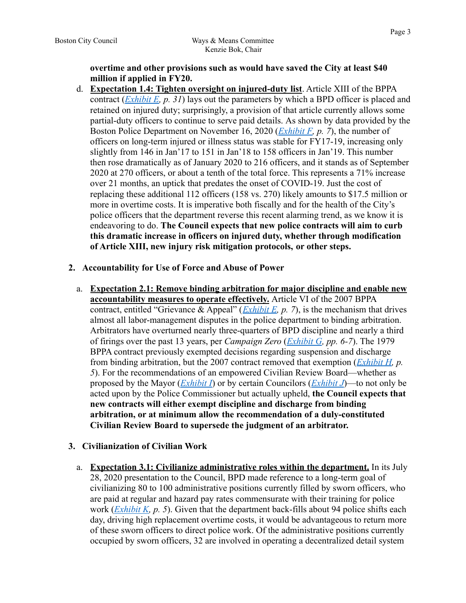#### overtime and other provisions such as would have saved the City at least \$40 million if applied in FY20.

d. Expectation 1.4: Tighten oversight on injured-duty list. Article XIII of the BPPA contract (*Exhibit E, p. 31*) lays out the parameters by which a BPD officer is placed and retained on injured duty; surprisingly, a provision of that article currently allows some partial-duty officers to continue to serve paid details. As shown by data provided by the Boston Police Department on November 16, 2020 (*Exhibit F, p.* 7), the number of officers on long-term injured or illness status was stable for FY17-19, increasing only slightly from 146 in Jan'17 to 151 in Jan'18 to 158 officers in Jan'19. This number then rose dramatically as of January 2020 to 216 officers, and it stands as of September 2020 at 270 officers, or about a tenth of the total force. This represents a 71% increase over 21 months, an uptick that predates the onset of COVID-19. Just the cost of replacing these additional 112 officers (158 vs. 270) likely amounts to \$17.5 million or more in overtime costs. It is imperative both fiscally and for the health of the City's police officers that the department reverse this recent alarming trend, as we know it is endeavoring to do. The Council expects that new police contracts will aim to curb this dramatic increase in officers on injured duty, whether through modification of Article XIII, new injury risk mitigation protocols, or other steps.

#### 2. Accountability for Use of Force and Abuse of Power

a. Expectation 2.1: Remove binding arbitration for major discipline and enable new accountability measures to operate effectively. Article VI of the 2007 BPPA contract, entitled "Grievance & Appeal" (*Exhibit E, p. 7*), is the mechanism that drives almost all labor-management disputes in the police department to binding arbitration. Arbitrators have overturned nearly three-quarters of BPD discipline and nearly a third of firings over the past 13 years, per Campaign Zero (Exhibit G, pp. 6-7). The 1979 BPPA contract previously exempted decisions regarding suspension and discharge from binding arbitration, but the 2007 contract removed that exemption  $(Exhibit H, p.$ 5). For the recommendations of an empowered Civilian Review Board—whether as proposed by the Mayor (*Exhibit I*) or by certain Councilors (*Exhibit J*)—to not only be acted upon by the Police Commissioner but actually upheld, the Council expects that new contracts will either exempt discipline and discharge from binding arbitration, or at minimum allow the recommendation of a duly-constituted Civilian Review Board to supersede the judgment of an arbitrator.

#### 3. Civilianization of Civilian Work

a. Expectation 3.1: Civilianize administrative roles within the department. In its July 28, 2020 presentation to the Council, BPD made reference to a long-term goal of civilianizing 80 to 100 administrative positions currently filled by sworn officers, who are paid at regular and hazard pay rates commensurate with their training for police work  $(Exhibit K, p. 5)$ . Given that the department back-fills about 94 police shifts each day, driving high replacement overtime costs, it would be advantageous to return more of these sworn officers to direct police work. Of the administrative positions currently occupied by sworn officers, 32 are involved in operating a decentralized detail system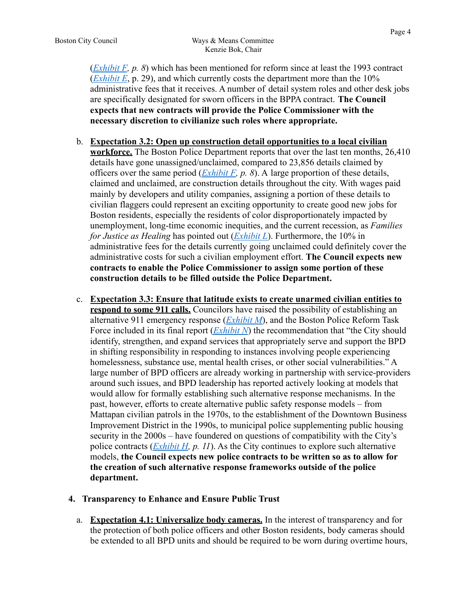$(Exhibit F, p. 8)$  which has been mentioned for reform since at least the 1993 contract (*Exhibit E*, p. 29), and which currently costs the department more than the  $10\%$ administrative fees that it receives. A number of detail system roles and other desk jobs are specifically designated for sworn officers in the BPPA contract. The Council expects that new contracts will provide the Police Commissioner with the necessary discretion to civilianize such roles where appropriate.

- b. Expectation 3.2: Open up construction detail opportunities to a local civilian workforce. The Boston Police Department reports that over the last ten months, 26,410 details have gone unassigned/unclaimed, compared to 23,856 details claimed by officers over the same period  $(Exhibit F, p. 8)$ . A large proportion of these details, claimed and unclaimed, are construction details throughout the city. With wages paid mainly by developers and utility companies, assigning a portion of these details to civilian flaggers could represent an exciting opportunity to create good new jobs for Boston residents, especially the residents of color disproportionately impacted by unemployment, long-time economic inequities, and the current recession, as *Families* for Justice as Healing has pointed out  $(Exhibit L)$ . Furthermore, the 10% in administrative fees for the details currently going unclaimed could definitely cover the administrative costs for such a civilian employment effort. The Council expects new contracts to enable the Police Commissioner to assign some portion of these construction details to be filled outside the Police Department.
- c. Expectation 3.3: Ensure that latitude exists to create unarmed civilian entities to respond to some 911 calls. Councilors have raised the possibility of establishing an alternative 911 emergency response  $(Exhibit M)$ , and the Boston Police Reform Task Force included in its final report  $(Exhibit N)$  the recommendation that "the City should" identify, strengthen, and expand services that appropriately serve and support the BPD in shifting responsibility in responding to instances involving people experiencing homelessness, substance use, mental health crises, or other social vulnerabilities." A large number of BPD officers are already working in partnership with service-providers around such issues, and BPD leadership has reported actively looking at models that would allow for formally establishing such alternative response mechanisms. In the past, however, efforts to create alternative public safety response models – from Mattapan civilian patrols in the 1970s, to the establishment of the Downtown Business Improvement District in the 1990s, to municipal police supplementing public housing security in the 2000s – have foundered on questions of compatibility with the City's police contracts  $(Exhibit H, p. 11)$ . As the City continues to explore such alternative models, the Council expects new police contracts to be written so as to allow for the creation of such alternative response frameworks outside of the police department.

#### 4. Transparency to Enhance and Ensure Public Trust

a. Expectation 4.1: Universalize body cameras. In the interest of transparency and for the protection of both police officers and other Boston residents, body cameras should be extended to all BPD units and should be required to be worn during overtime hours,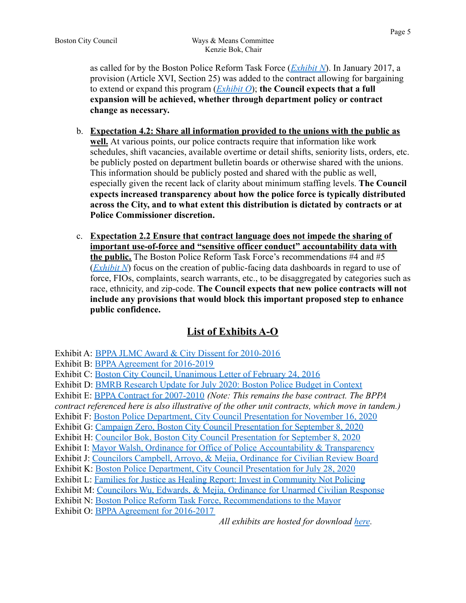- b. Expectation 4.2: Share all information provided to the unions with the public as well. At various points, our police contracts require that information like work schedules, shift vacancies, available overtime or detail shifts, seniority lists, orders, etc. be publicly posted on department bulletin boards or otherwise shared with the unions. This information should be publicly posted and shared with the public as well. especially given the recent lack of clarity about minimum staffing levels. The Council expects increased transparency about how the police force is typically distributed across the City, and to what extent this distribution is dictated by contracts or at **Police Commissioner discretion.**
- c. Expectation 2.2 Ensure that contract language does not impede the sharing of important use-of-force and "sensitive officer conduct" accountability data with the public. The Boston Police Reform Task Force's recommendations  $#4$  and  $#5$  $(Exhibit N)$  focus on the creation of public-facing data dashboards in regard to use of force, FIOs, complaints, search warrants, etc., to be disaggregated by categories such as race, ethnicity, and zip-code. The Council expects that new police contracts will not include any provisions that would block this important proposed step to enhance public confidence.

# **List of Exhibits A-O**

Exhibit A: BPPA JLMC Award & City Dissent for 2010-2016

Exhibit B: BPPA Agreement for 2016-2019

Exhibit C: Boston City Council, Unanimous Letter of February 24, 2016

Exhibit D: BMRB Research Update for July 2020: Boston Police Budget in Context

Exhibit E: BPPA Contract for 2007-2010 (Note: This remains the base contract. The BPPA

contract referenced here is also illustrative of the other unit contracts, which move in tandem.)

Exhibit F: Boston Police Department, City Council Presentation for November 16, 2020

Exhibit G: Campaign Zero, Boston City Council Presentation for September 8, 2020

Exhibit H: Councilor Bok, Boston City Council Presentation for September 8, 2020

Exhibit I: Mayor Walsh, Ordinance for Office of Police Accountability & Transparency

Exhibit J: Councilors Campbell, Arroyo, & Mejia, Ordinance for Civilian Review Board

Exhibit K: Boston Police Department, City Council Presentation for July 28, 2020

Exhibit L: Families for Justice as Healing Report: Invest in Community Not Policing

Exhibit M: Councilors Wu, Edwards, & Mejia, Ordinance for Unarmed Civilian Response

Exhibit N: Boston Police Reform Task Force, Recommendations to the Mayor

Exhibit O: BPPA Agreement for 2016-2017

All exhibits are hosted for download here.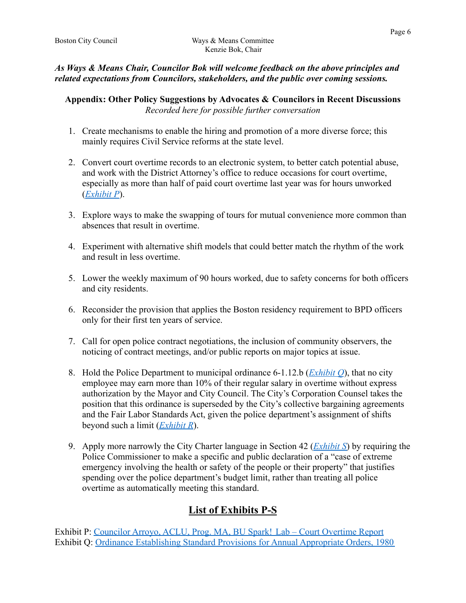### As Ways & Means Chair, Councilor Bok will welcome feedback on the above principles and related expectations from Councilors, stakeholders, and the public over coming sessions.

Appendix: Other Policy Suggestions by Advocates & Councilors in Recent Discussions Recorded here for possible further conversation

- 1. Create mechanisms to enable the hiring and promotion of a more diverse force; this mainly requires Civil Service reforms at the state level.
- 2. Convert court overtime records to an electronic system, to better catch potential abuse, and work with the District Attorney's office to reduce occasions for court overtime, especially as more than half of paid court overtime last year was for hours unworked  $(Exhibit P)$ .
- 3. Explore ways to make the swapping of tours for mutual convenience more common than absences that result in overtime
- 4. Experiment with alternative shift models that could better match the rhythm of the work and result in less overtime
- 5. Lower the weekly maximum of 90 hours worked, due to safety concerns for both officers and city residents.
- 6. Reconsider the provision that applies the Boston residency requirement to BPD officers only for their first ten years of service.
- 7. Call for open police contract negotiations, the inclusion of community observers, the noticing of contract meetings, and/or public reports on major topics at issue.
- 8. Hold the Police Department to municipal ordinance 6-1.12.b ( $\frac{Exhibit O}{D}$ , that no city employee may earn more than 10% of their regular salary in overtime without express authorization by the Mayor and City Council. The City's Corporation Counsel takes the position that this ordinance is superseded by the City's collective bargaining agreements and the Fair Labor Standards Act, given the police department's assignment of shifts beyond such a limit  $(Exhibit R)$ .
- 9. Apply more narrowly the City Charter language in Section 42 (*Exhibit S*) by requiring the Police Commissioner to make a specific and public declaration of a "case of extreme" emergency involving the health or safety of the people or their property" that justifies spending over the police department's budget limit, rather than treating all police overtime as automatically meeting this standard.

# **List of Exhibits P-S**

Exhibit P: Councilor Arrovo, ACLU, Prog. MA, BU Spark! Lab – Court Overtime Report Exhibit O: Ordinance Establishing Standard Provisions for Annual Appropriate Orders, 1980